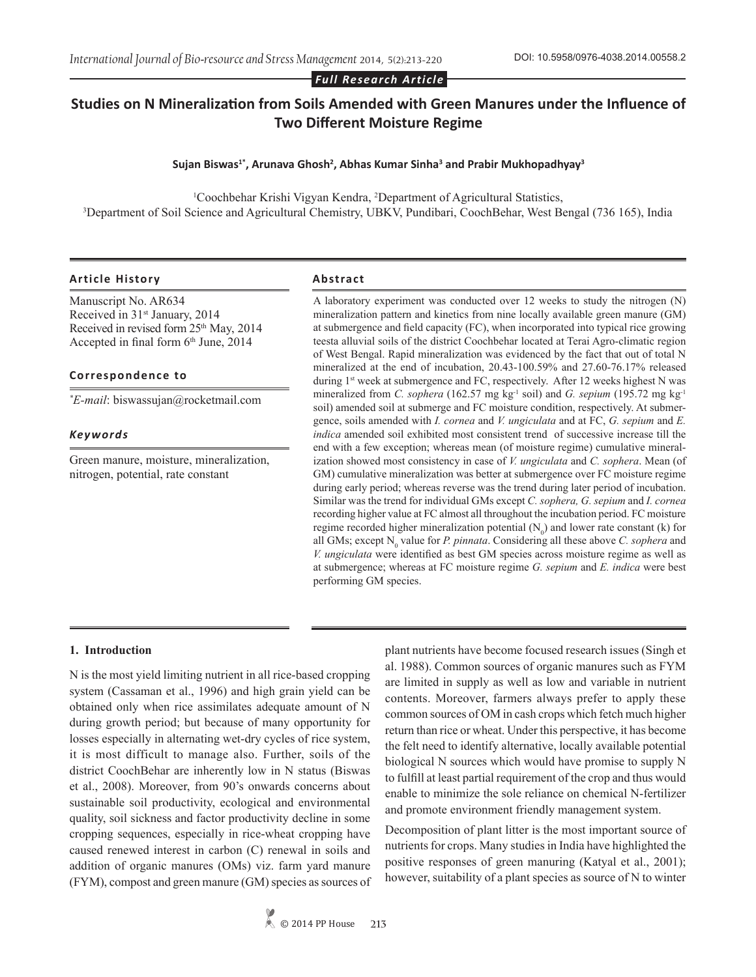*Full Research Article*

# **Studies on N Mineralization from Soils Amended with Green Manures under the Influence of Two Different Moisture Regime**

### **Sujan Biswas1\*, Arunava Ghosh<sup>2</sup> , Abhas Kumar Sinha<sup>3</sup> and Prabir Mukhopadhyay<sup>3</sup>**

Coochbehar Krishi Vigyan Kendra, <sup>2</sup>Department of Agricultural Statistics,<sup>3</sup><br>Department of Soil Science and Agricultural Chemistry UBKV Pundibari, CoochBehar, West Be<sup>3</sup> <sup>3</sup>Department of Soil Science and Agricultural Chemistry, UBKV, Pundibari, CoochBehar, West Bengal (736 165), India

#### **Article History Abstract**

Manuscript No. AR634 Received in 31st January, 2014 Received in revised form 25<sup>th</sup> May, 2014 Accepted in final form  $6<sup>th</sup>$  June, 2014

#### **Correspondence to**

*\* E-mail*: biswassujan@rocketmail.com

#### *Keywords*

Green manure, moisture, mineralization, nitrogen, potential, rate constant

A laboratory experiment was conducted over 12 weeks to study the nitrogen (N) mineralization pattern and kinetics from nine locally available green manure (GM) at submergence and field capacity (FC), when incorporated into typical rice growing teesta alluvial soils of the district Coochbehar located at Terai Agro-climatic region of West Bengal. Rapid mineralization was evidenced by the fact that out of total N mineralized at the end of incubation, 20.43-100.59% and 27.60-76.17% released during 1<sup>st</sup> week at submergence and FC, respectively. After 12 weeks highest N was mineralized from *C. sophera* (162.57 mg kg<sup>-1</sup> soil) and *G. sepium* (195.72 mg kg<sup>-1</sup>) soil) amended soil at submerge and FC moisture condition, respectively. At submergence, soils amended with *I. cornea* and *V. ungiculata* and at FC, *G. sepium* and *E. indica* amended soil exhibited most consistent trend of successive increase till the end with a few exception; whereas mean (of moisture regime) cumulative mineralization showed most consistency in case of *V. ungiculata* and *C. sophera*. Mean (of GM) cumulative mineralization was better at submergence over FC moisture regime during early period; whereas reverse was the trend during later period of incubation. Similar was the trend for individual GMs except *C. sophera, G. sepium* and *I. cornea* recording higher value at FC almost all throughout the incubation period. FC moisture regime recorded higher mineralization potential  $(N_0)$  and lower rate constant (k) for all GMs; except  $N_0$  value for *P. pinnata*. Considering all these above *C. sophera* and *V. ungiculata* were identified as best GM species across moisture regime as well as at submergence; whereas at FC moisture regime *G. sepium* and *E. indica* were best performing GM species.

#### **1. Introduction**

N is the most yield limiting nutrient in all rice-based cropping system (Cassaman et al., 1996) and high grain yield can be obtained only when rice assimilates adequate amount of N during growth period; but because of many opportunity for losses especially in alternating wet-dry cycles of rice system, it is most difficult to manage also. Further, soils of the district CoochBehar are inherently low in N status (Biswas et al., 2008). Moreover, from 90's onwards concerns about sustainable soil productivity, ecological and environmental quality, soil sickness and factor productivity decline in some cropping sequences, especially in rice-wheat cropping have caused renewed interest in carbon (C) renewal in soils and addition of organic manures (OMs) viz. farm yard manure (FYM), compost and green manure (GM) species as sources of

plant nutrients have become focused research issues (Singh et al. 1988). Common sources of organic manures such as FYM are limited in supply as well as low and variable in nutrient contents. Moreover, farmers always prefer to apply these common sources of OM in cash crops which fetch much higher return than rice or wheat. Under this perspective, it has become the felt need to identify alternative, locally available potential biological N sources which would have promise to supply N to fulfill at least partial requirement of the crop and thus would enable to minimize the sole reliance on chemical N-fertilizer and promote environment friendly management system.

Decomposition of plant litter is the most important source of nutrients for crops. Many studies in India have highlighted the positive responses of green manuring (Katyal et al., 2001); however, suitability of a plant species as source of N to winter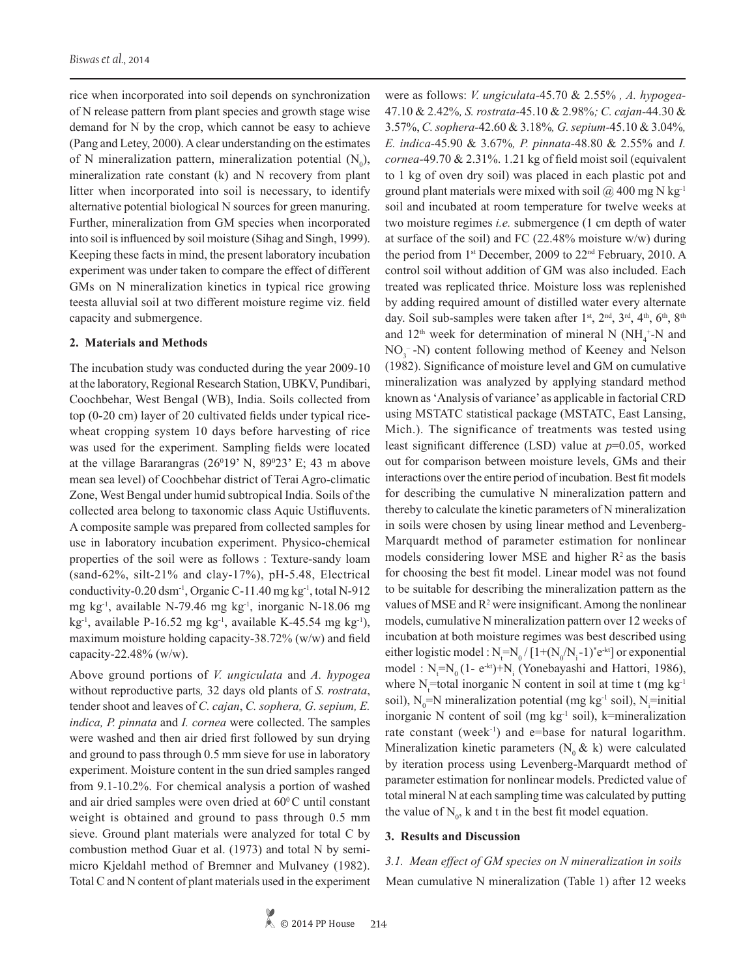rice when incorporated into soil depends on synchronization of N release pattern from plant species and growth stage wise demand for N by the crop, which cannot be easy to achieve (Pang and Letey, 2000). A clear understanding on the estimates of N mineralization pattern, mineralization potential  $(N_0)$ , mineralization rate constant (k) and N recovery from plant litter when incorporated into soil is necessary, to identify alternative potential biological N sources for green manuring. Further, mineralization from GM species when incorporated into soil is influenced by soil moisture (Sihag and Singh, 1999). Keeping these facts in mind, the present laboratory incubation experiment was under taken to compare the effect of different GMs on N mineralization kinetics in typical rice growing teesta alluvial soil at two different moisture regime viz. field capacity and submergence.

#### **2. Materials and Methods**

The incubation study was conducted during the year 2009-10 at the laboratory, Regional Research Station, UBKV, Pundibari, Coochbehar, West Bengal (WB), India. Soils collected from top (0-20 cm) layer of 20 cultivated fields under typical ricewheat cropping system 10 days before harvesting of rice was used for the experiment. Sampling fields were located at the village Bararangras  $(26^019' \text{ N}, 89^023' \text{ E}; 43 \text{ m}$  above mean sea level) of Coochbehar district of Terai Agro-climatic Zone, West Bengal under humid subtropical India. Soils of the collected area belong to taxonomic class Aquic Ustifluvents. A composite sample was prepared from collected samples for use in laboratory incubation experiment. Physico-chemical properties of the soil were as follows : Texture-sandy loam (sand-62%, silt-21% and clay-17%), pH-5.48, Electrical conductivity-0.20 dsm-1, Organic C-11.40 mg kg-1, total N-912 mg kg-1, available N-79.46 mg kg-1, inorganic N-18.06 mg kg<sup>-1</sup>, available P-16.52 mg kg<sup>-1</sup>, available K-45.54 mg kg<sup>-1</sup>), maximum moisture holding capacity-38.72% (w/w) and field capacity-22.48% (w/w).

Above ground portions of *V. ungiculata* and *A. hypogea*  without reproductive parts*,* 32 days old plants of *S. rostrata*, tender shoot and leaves of *C. cajan*, *C. sophera, G. sepium, E. indica, P. pinnata* and *I. cornea* were collected. The samples were washed and then air dried first followed by sun drying and ground to pass through 0.5 mm sieve for use in laboratory experiment. Moisture content in the sun dried samples ranged from 9.1-10.2%. For chemical analysis a portion of washed and air dried samples were oven dried at 60°C until constant weight is obtained and ground to pass through 0.5 mm sieve. Ground plant materials were analyzed for total C by combustion method Guar et al. (1973) and total N by semimicro Kjeldahl method of Bremner and Mulvaney (1982). Total C and N content of plant materials used in the experiment were as follows: *V. ungiculata-*45.70 & 2.55% *, A. hypogea-*47.10 & 2.42%*, S. rostrata-*45.10 & 2.98%*; C. cajan-*44.30 & 3.57%, *C. sophera-*42.60 & 3.18%*, G. sepium-*45.10 & 3.04%*, E. indica-*45.90 & 3.67%*, P. pinnata-*48.80 & 2.55% and *I. cornea-*49.70 & 2.31%. 1.21 kg of field moist soil (equivalent to 1 kg of oven dry soil) was placed in each plastic pot and ground plant materials were mixed with soil  $\omega$  400 mg N kg<sup>-1</sup> soil and incubated at room temperature for twelve weeks at two moisture regimes *i.e.* submergence (1 cm depth of water at surface of the soil) and FC (22.48% moisture w/w) during the period from 1st December, 2009 to 22nd February, 2010. A control soil without addition of GM was also included. Each treated was replicated thrice. Moisture loss was replenished by adding required amount of distilled water every alternate day. Soil sub-samples were taken after 1<sup>st</sup>, 2<sup>nd</sup>, 3<sup>rd</sup>, 4<sup>th</sup>, 6<sup>th</sup>, 8<sup>th</sup> and 12<sup>th</sup> week for determination of mineral N (NH<sub>4</sub><sup>+</sup>-N and  $NO<sub>3</sub><sup>-</sup>-N$ ) content following method of Keeney and Nelson (1982). Significance of moisture level and GM on cumulative mineralization was analyzed by applying standard method known as 'Analysis of variance' as applicable in factorial CRD using MSTATC statistical package (MSTATC, East Lansing, Mich.). The significance of treatments was tested using least significant difference (LSD) value at *p*=0.05, worked out for comparison between moisture levels, GMs and their interactions over the entire period of incubation. Best fit models for describing the cumulative N mineralization pattern and thereby to calculate the kinetic parameters of N mineralization in soils were chosen by using linear method and Levenberg-Marquardt method of parameter estimation for nonlinear models considering lower MSE and higher  $R<sup>2</sup>$  as the basis for choosing the best fit model. Linear model was not found to be suitable for describing the mineralization pattern as the values of MSE and  $\mathbb{R}^2$  were insignificant. Among the nonlinear models, cumulative N mineralization pattern over 12 weeks of incubation at both moisture regimes was best described using either logistic model :  $N_f = N_0 / [1 + (N_0 / N_i - 1)^* e^{-kt}]$  or exponential model :  $N_t = N_0 (1 - e^{-kt}) + N_i$  (Yonebayashi and Hattori, 1986), where  $N_t$ =total inorganic N content in soil at time t (mg  $kg^{-1}$ ) soil),  $N_0$ =N mineralization potential (mg kg<sup>-1</sup> soil),  $N_i$ =initial inorganic N content of soil (mg  $kg<sup>-1</sup>$  soil), k=mineralization rate constant (week<sup>-1</sup>) and e=base for natural logarithm. Mineralization kinetic parameters ( $N_0 \& k$ ) were calculated by iteration process using Levenberg-Marquardt method of parameter estimation for nonlinear models. Predicted value of total mineral N at each sampling time was calculated by putting the value of  $N_0$ , k and t in the best fit model equation.

#### **3. Results and Discussion**

# *3.1. Mean effect of GM species on N mineralization in soils* Mean cumulative N mineralization (Table 1) after 12 weeks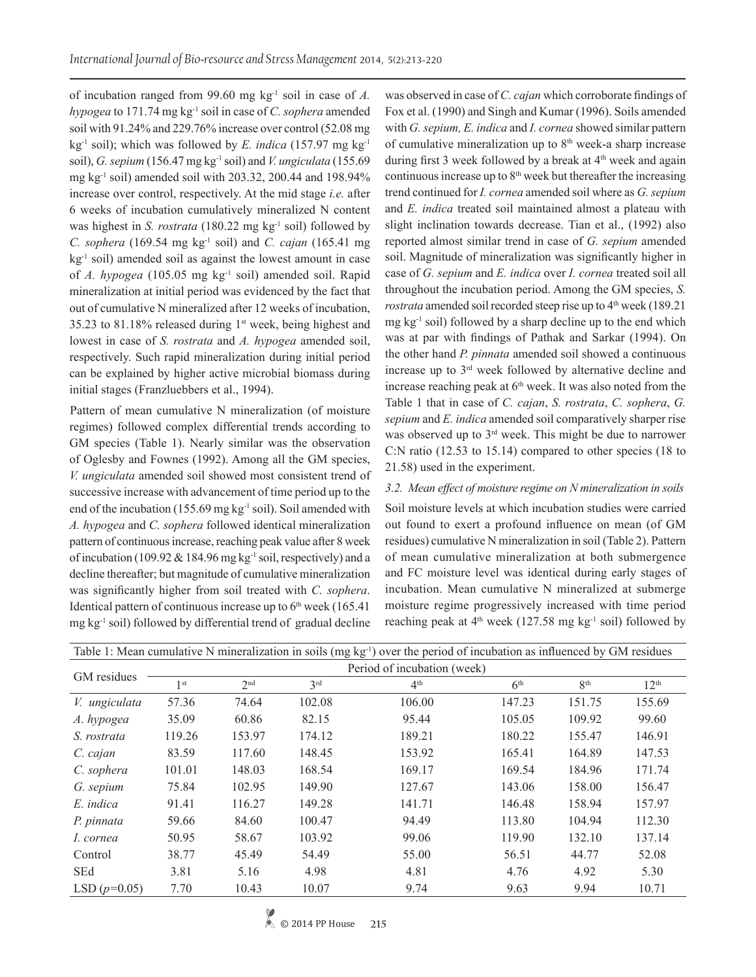of incubation ranged from 99.60 mg kg-1 soil in case of *A. hypogea* to 171.74 mg kg-1 soil in case of *C. sophera* amended soil with 91.24% and 229.76% increase over control (52.08 mg kg-1 soil); which was followed by *E. indica* (157.97 mg kg-1 soil), *G. sepium* (156.47 mg kg-1 soil) and *V. ungiculata* (155.69 mg kg-1 soil) amended soil with 203.32, 200.44 and 198.94% increase over control, respectively. At the mid stage *i.e.* after 6 weeks of incubation cumulatively mineralized N content was highest in *S. rostrata* (180.22 mg kg<sup>-1</sup> soil) followed by *C. sophera* (169.54 mg kg-1 soil) and *C. cajan* (165.41 mg  $kg<sup>-1</sup>$  soil) amended soil as against the lowest amount in case of *A. hypogea* (105.05 mg kg-1 soil) amended soil. Rapid mineralization at initial period was evidenced by the fact that out of cumulative N mineralized after 12 weeks of incubation, 35.23 to 81.18% released during 1st week, being highest and lowest in case of *S. rostrata* and *A. hypogea* amended soil, respectively. Such rapid mineralization during initial period can be explained by higher active microbial biomass during initial stages (Franzluebbers et al., 1994).

Pattern of mean cumulative N mineralization (of moisture regimes) followed complex differential trends according to GM species (Table 1). Nearly similar was the observation of Oglesby and Fownes (1992). Among all the GM species, *V. ungiculata* amended soil showed most consistent trend of successive increase with advancement of time period up to the end of the incubation (155.69 mg kg<sup>-1</sup> soil). Soil amended with *A. hypogea* and *C. sophera* followed identical mineralization pattern of continuous increase, reaching peak value after 8 week of incubation (109.92 & 184.96 mg kg-1 soil, respectively) and a decline thereafter; but magnitude of cumulative mineralization was significantly higher from soil treated with *C. sophera*. Identical pattern of continuous increase up to  $6<sup>th</sup>$  week (165.41) mg kg-1 soil) followed by differential trend of gradual decline

was observed in case of *C. cajan* which corroborate findings of Fox et al. (1990) and Singh and Kumar (1996). Soils amended with *G. sepium, E. indica* and *I. cornea* showed similar pattern of cumulative mineralization up to 8<sup>th</sup> week-a sharp increase during first 3 week followed by a break at  $4<sup>th</sup>$  week and again continuous increase up to  $8<sup>th</sup>$  week but thereafter the increasing trend continued for *I. cornea* amended soil where as *G. sepium*  and *E. indica* treated soil maintained almost a plateau with slight inclination towards decrease. Tian et al., (1992) also reported almost similar trend in case of *G. sepium* amended soil. Magnitude of mineralization was significantly higher in case of *G. sepium* and *E. indica* over *I. cornea* treated soil all throughout the incubation period. Among the GM species, *S. rostrata* amended soil recorded steep rise up to 4<sup>th</sup> week (189.21)  $mg \, kg^{-1}$  soil) followed by a sharp decline up to the end which was at par with findings of Pathak and Sarkar (1994). On the other hand *P. pinnata* amended soil showed a continuous increase up to 3rd week followed by alternative decline and increase reaching peak at  $6<sup>th</sup>$  week. It was also noted from the Table 1 that in case of *C. cajan*, *S. rostrata*, *C. sophera*, *G. sepium* and *E. indica* amended soil comparatively sharper rise was observed up to 3<sup>rd</sup> week. This might be due to narrower C:N ratio (12.53 to 15.14) compared to other species (18 to 21.58) used in the experiment.

# *3.2. Mean effect of moisture regime on N mineralization in soils*

Soil moisture levels at which incubation studies were carried out found to exert a profound influence on mean (of GM residues) cumulative N mineralization in soil (Table 2). Pattern of mean cumulative mineralization at both submergence and FC moisture level was identical during early stages of incubation. Mean cumulative N mineralized at submerge moisture regime progressively increased with time period reaching peak at  $4<sup>th</sup>$  week (127.58 mg kg<sup>-1</sup> soil) followed by

| Table 1: Mean cumulative N mineralization in soils (mg $kg^{-1}$ ) over the period of incubation as influenced by GM residues |                             |                 |                 |                 |                 |                 |                  |  |  |  |  |
|-------------------------------------------------------------------------------------------------------------------------------|-----------------------------|-----------------|-----------------|-----------------|-----------------|-----------------|------------------|--|--|--|--|
|                                                                                                                               | Period of incubation (week) |                 |                 |                 |                 |                 |                  |  |  |  |  |
| GM residues                                                                                                                   | 1 <sup>st</sup>             | 2 <sup>nd</sup> | 3 <sup>rd</sup> | 4 <sup>th</sup> | 6 <sup>th</sup> | 8 <sup>th</sup> | 12 <sup>th</sup> |  |  |  |  |
| V. ungiculata                                                                                                                 | 57.36                       | 74.64           | 102.08          | 106.00          | 147.23          | 151.75          | 155.69           |  |  |  |  |
| A. hypogea                                                                                                                    | 35.09                       | 60.86           | 82.15           | 95.44           | 105.05          | 109.92          | 99.60            |  |  |  |  |
| S. rostrata                                                                                                                   | 119.26                      | 153.97          | 174.12          | 189.21          | 180.22          | 155.47          | 146.91           |  |  |  |  |
| C. cajan                                                                                                                      | 83.59                       | 117.60          | 148.45          | 153.92          | 165.41          | 164.89          | 147.53           |  |  |  |  |
| C. sophera                                                                                                                    | 101.01                      | 148.03          | 168.54          | 169.17          | 169.54          | 184.96          | 171.74           |  |  |  |  |
| G. sepium                                                                                                                     | 75.84                       | 102.95          | 149.90          | 127.67          | 143.06          | 158.00          | 156.47           |  |  |  |  |
| E. indica                                                                                                                     | 91.41                       | 116.27          | 149.28          | 141.71          | 146.48          | 158.94          | 157.97           |  |  |  |  |
| P. pinnata                                                                                                                    | 59.66                       | 84.60           | 100.47          | 94.49           | 113.80          | 104.94          | 112.30           |  |  |  |  |
| I. cornea                                                                                                                     | 50.95                       | 58.67           | 103.92          | 99.06           | 119.90          | 132.10          | 137.14           |  |  |  |  |
| Control                                                                                                                       | 38.77                       | 45.49           | 54.49           | 55.00           | 56.51           | 44.77           | 52.08            |  |  |  |  |
| SEd                                                                                                                           | 3.81                        | 5.16            | 4.98            | 4.81            | 4.76            | 4.92            | 5.30             |  |  |  |  |
| LSD $(p=0.05)$                                                                                                                | 7.70                        | 10.43           | 10.07           | 9.74            | 9.63            | 9.94            | 10.71            |  |  |  |  |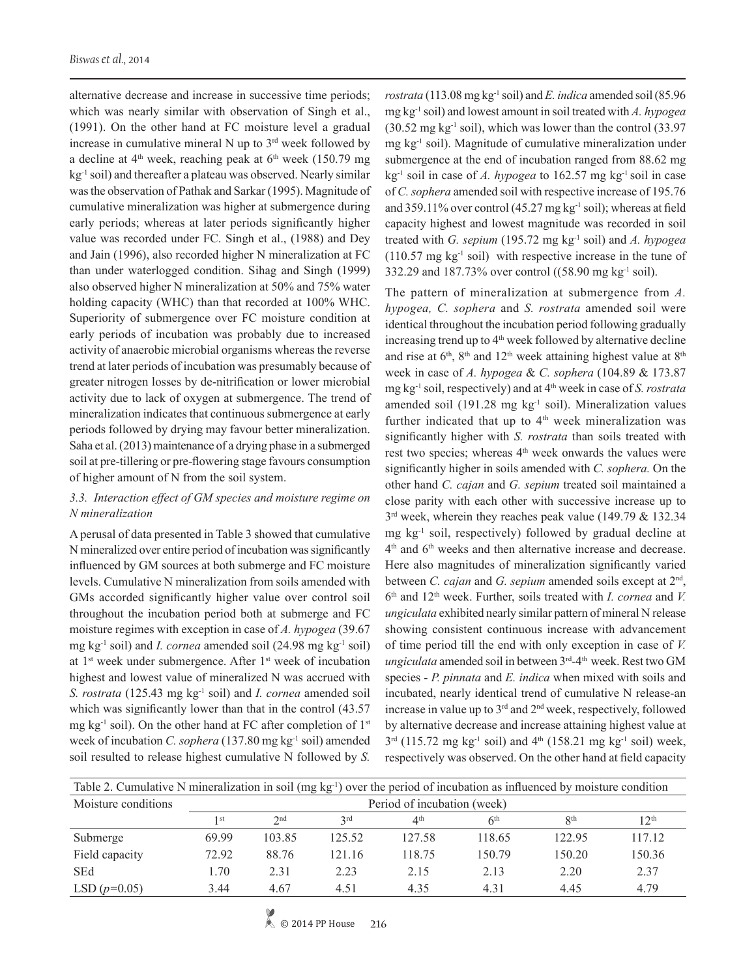alternative decrease and increase in successive time periods; which was nearly similar with observation of Singh et al., (1991). On the other hand at FC moisture level a gradual increase in cumulative mineral  $N$  up to  $3<sup>rd</sup>$  week followed by a decline at  $4<sup>th</sup>$  week, reaching peak at  $6<sup>th</sup>$  week (150.79 mg) kg<sup>-1</sup> soil) and thereafter a plateau was observed. Nearly similar was the observation of Pathak and Sarkar (1995). Magnitude of cumulative mineralization was higher at submergence during early periods; whereas at later periods significantly higher value was recorded under FC. Singh et al., (1988) and Dey and Jain (1996), also recorded higher N mineralization at FC than under waterlogged condition. Sihag and Singh (1999) also observed higher N mineralization at 50% and 75% water holding capacity (WHC) than that recorded at 100% WHC. Superiority of submergence over FC moisture condition at early periods of incubation was probably due to increased activity of anaerobic microbial organisms whereas the reverse trend at later periods of incubation was presumably because of greater nitrogen losses by de-nitrification or lower microbial activity due to lack of oxygen at submergence. The trend of mineralization indicates that continuous submergence at early periods followed by drying may favour better mineralization. Saha et al. (2013) maintenance of a drying phase in a submerged soil at pre-tillering or pre-flowering stage favours consumption of higher amount of N from the soil system.

# *3.3. Interaction effect of GM species and moisture regime on N mineralization*

A perusal of data presented in Table 3 showed that cumulative N mineralized over entire period of incubation was significantly influenced by GM sources at both submerge and FC moisture levels. Cumulative N mineralization from soils amended with GMs accorded significantly higher value over control soil throughout the incubation period both at submerge and FC moisture regimes with exception in case of *A. hypogea* (39.67 mg kg<sup>-1</sup> soil) and *I. cornea* amended soil (24.98 mg kg<sup>-1</sup> soil) at 1st week under submergence. After 1st week of incubation highest and lowest value of mineralized N was accrued with *S. rostrata* (125.43 mg kg<sup>-1</sup> soil) and *I. cornea* amended soil which was significantly lower than that in the control  $(43.57)$ mg kg<sup>-1</sup> soil). On the other hand at FC after completion of  $1<sup>st</sup>$ week of incubation *C. sophera* (137.80 mg kg-1 soil) amended soil resulted to release highest cumulative N followed by *S.* 

*rostrata* (113.08 mg kg-1 soil) and *E. indica* amended soil (85.96 mg kg-1 soil) and lowest amount in soil treated with *A. hypogea*   $(30.52 \text{ mg kg}^{-1} \text{ soil})$ , which was lower than the control  $(33.97 \text{ m})$ mg kg-1 soil). Magnitude of cumulative mineralization under submergence at the end of incubation ranged from 88.62 mg kg-1 soil in case of *A. hypogea* to 162.57 mg kg-1 soil in case of *C. sophera* amended soil with respective increase of 195.76 and 359.11% over control (45.27 mg kg-1 soil); whereas at field capacity highest and lowest magnitude was recorded in soil treated with *G. sepium* (195.72 mg kg-1 soil) and *A. hypogea*   $(110.57 \text{ mg kg}^{-1} \text{ soil})$  with respective increase in the tune of 332.29 and 187.73% over control ((58.90 mg kg-1 soil).

The pattern of mineralization at submergence from *A. hypogea, C. sophera* and *S. rostrata* amended soil were identical throughout the incubation period following gradually increasing trend up to  $4<sup>th</sup>$  week followed by alternative decline and rise at  $6<sup>th</sup>$ ,  $8<sup>th</sup>$  and  $12<sup>th</sup>$  week attaining highest value at  $8<sup>th</sup>$ week in case of *A. hypogea* & *C. sophera* (104.89 & 173.87 mg kg-1 soil, respectively) and at 4th week in case of *S. rostrata*  amended soil (191.28 mg  $kg<sup>-1</sup>$  soil). Mineralization values further indicated that up to  $4<sup>th</sup>$  week mineralization was significantly higher with *S. rostrata* than soils treated with rest two species; whereas 4<sup>th</sup> week onwards the values were significantly higher in soils amended with *C. sophera.* On the other hand *C. cajan* and *G. sepium* treated soil maintained a close parity with each other with successive increase up to  $3<sup>rd</sup>$  week, wherein they reaches peak value (149.79 & 132.34) mg kg-1 soil, respectively) followed by gradual decline at 4th and 6th weeks and then alternative increase and decrease. Here also magnitudes of mineralization significantly varied between *C. cajan* and *G. sepium* amended soils except at 2nd, 6th and 12th week. Further, soils treated with *I. cornea* and *V. ungiculata* exhibited nearly similar pattern of mineral N release showing consistent continuous increase with advancement of time period till the end with only exception in case of *V. ungiculata* amended soil in between 3<sup>rd</sup>-4<sup>th</sup> week. Rest two GM species - *P. pinnata* and *E. indica* when mixed with soils and incubated, nearly identical trend of cumulative N release-an increase in value up to  $3<sup>rd</sup>$  and  $2<sup>nd</sup>$  week, respectively, followed by alternative decrease and increase attaining highest value at  $3<sup>rd</sup>$  (115.72 mg kg<sup>-1</sup> soil) and  $4<sup>th</sup>$  (158.21 mg kg<sup>-1</sup> soil) week, respectively was observed. On the other hand at field capacity

| Table 2. Cumulative N mineralization in soil (mg $kg^{-1}$ ) over the period of incubation as influenced by moisture condition |                             |                 |        |                 |                 |                 |                  |  |  |
|--------------------------------------------------------------------------------------------------------------------------------|-----------------------------|-----------------|--------|-----------------|-----------------|-----------------|------------------|--|--|
| Moisture conditions                                                                                                            | Period of incubation (week) |                 |        |                 |                 |                 |                  |  |  |
|                                                                                                                                | 1 st                        | 2 <sub>nd</sub> | 2rd    | 4 <sup>th</sup> | 6 <sup>th</sup> | R <sup>th</sup> | 12 <sup>th</sup> |  |  |
| Submerge                                                                                                                       | 69.99                       | 103.85          | 125.52 | 127.58          | 118.65          | 122.95          | 117.12           |  |  |
| Field capacity                                                                                                                 | 72.92                       | 88.76           | 121.16 | 118.75          | 150.79          | 150.20          | 150.36           |  |  |
| <b>SEd</b>                                                                                                                     | 1.70                        | 2.31            | 2.23   | 2.15            | 2.13            | 2.20            | 2.37             |  |  |
| LSD $(p=0.05)$                                                                                                                 | 3.44                        | 4.67            | 4.51   | 4.35            | 4.31            | 4.45            | 4.79             |  |  |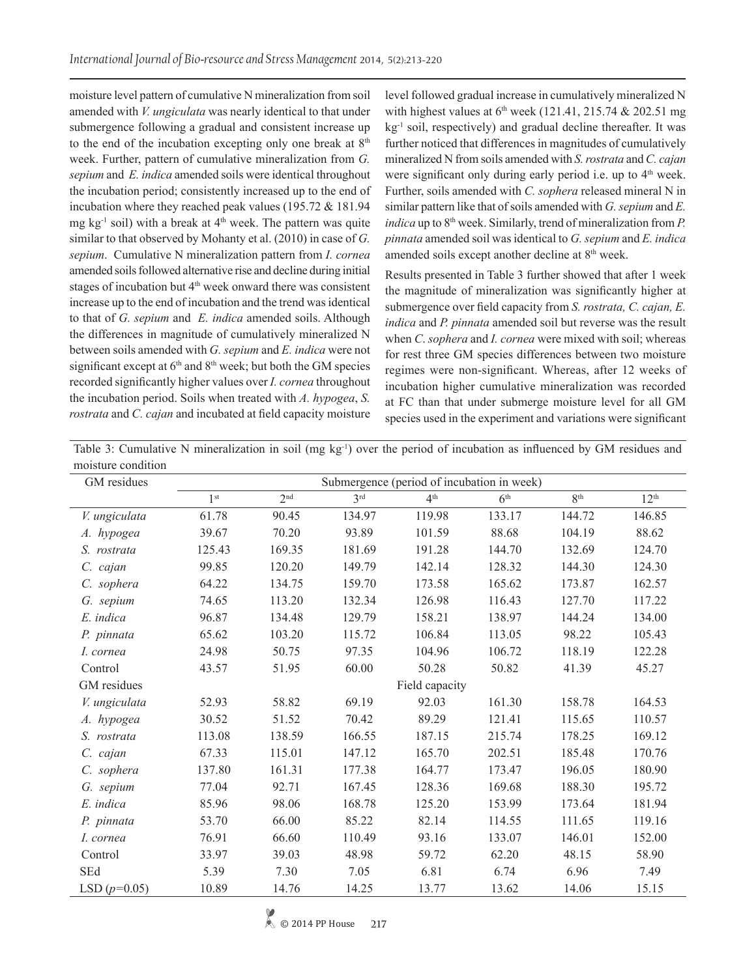moisture level pattern of cumulative N mineralization from soil amended with *V. ungiculata* was nearly identical to that under submergence following a gradual and consistent increase up to the end of the incubation excepting only one break at  $8<sup>th</sup>$ week. Further, pattern of cumulative mineralization from *G. sepium* and *E. indica* amended soils were identical throughout the incubation period; consistently increased up to the end of incubation where they reached peak values (195.72 & 181.94 mg kg<sup>-1</sup> soil) with a break at  $4<sup>th</sup>$  week. The pattern was quite similar to that observed by Mohanty et al. (2010) in case of *G. sepium*. Cumulative N mineralization pattern from *I. cornea* amended soils followed alternative rise and decline during initial stages of incubation but 4<sup>th</sup> week onward there was consistent increase up to the end of incubation and the trend was identical to that of *G. sepium* and *E. indica* amended soils. Although the differences in magnitude of cumulatively mineralized N between soils amended with *G. sepium* and *E. indica* were not significant except at  $6<sup>th</sup>$  and  $8<sup>th</sup>$  week; but both the GM species recorded significantly higher values over *I. cornea* throughout the incubation period. Soils when treated with *A. hypogea*, *S. rostrata* and *C. cajan* and incubated at field capacity moisture

level followed gradual increase in cumulatively mineralized N with highest values at  $6<sup>th</sup>$  week (121.41, 215.74 & 202.51 mg kg<sup>-1</sup> soil, respectively) and gradual decline thereafter. It was further noticed that differences in magnitudes of cumulatively mineralized N from soils amended with *S. rostrata* and *C. cajan*  were significant only during early period i.e. up to 4<sup>th</sup> week. Further, soils amended with *C. sophera* released mineral N in similar pattern like that of soils amended with *G. sepium* and *E. indica* up to  $8<sup>th</sup>$  week. Similarly, trend of mineralization from *P*. *pinnata* amended soil was identical to *G. sepium* and *E. indica*  amended soils except another decline at 8<sup>th</sup> week.

Results presented in Table 3 further showed that after 1 week the magnitude of mineralization was significantly higher at submergence over field capacity from *S. rostrata, C. cajan, E. indica* and *P. pinnata* amended soil but reverse was the result when *C*. *sophera* and *I. cornea* were mixed with soil; whereas for rest three GM species differences between two moisture regimes were non-significant. Whereas, after 12 weeks of incubation higher cumulative mineralization was recorded at FC than that under submerge moisture level for all GM species used in the experiment and variations were significant

| Table 3: Cumulative N mineralization in soil (mg $kg^{-1}$ ) over the period of incubation as influenced by GM residues and |  |  |  |  |  |  |
|-----------------------------------------------------------------------------------------------------------------------------|--|--|--|--|--|--|
| moisture condition                                                                                                          |  |  |  |  |  |  |

| GM residues    | Submergence (period of incubation in week) |                 |                 |                 |                 |                 |                  |  |
|----------------|--------------------------------------------|-----------------|-----------------|-----------------|-----------------|-----------------|------------------|--|
|                | 1 <sup>st</sup>                            | 2 <sup>nd</sup> | 3 <sup>rd</sup> | 4 <sup>th</sup> | 6 <sup>th</sup> | 8 <sup>th</sup> | 12 <sup>th</sup> |  |
| V. ungiculata  | 61.78                                      | 90.45           | 134.97          | 119.98          | 133.17          | 144.72          | 146.85           |  |
| A. hypogea     | 39.67                                      | 70.20           | 93.89           | 101.59          | 88.68           | 104.19          | 88.62            |  |
| S. rostrata    | 125.43                                     | 169.35          | 181.69          | 191.28          | 144.70          | 132.69          | 124.70           |  |
| C. cajan       | 99.85                                      | 120.20          | 149.79          | 142.14          | 128.32          | 144.30          | 124.30           |  |
| C. sophera     | 64.22                                      | 134.75          | 159.70          | 173.58          | 165.62          | 173.87          | 162.57           |  |
| G. sepium      | 74.65                                      | 113.20          | 132.34          | 126.98          | 116.43          | 127.70          | 117.22           |  |
| E. indica      | 96.87                                      | 134.48          | 129.79          | 158.21          | 138.97          | 144.24          | 134.00           |  |
| P. pinnata     | 65.62                                      | 103.20          | 115.72          | 106.84          | 113.05          | 98.22           | 105.43           |  |
| I. cornea      | 24.98                                      | 50.75           | 97.35           | 104.96          | 106.72          | 118.19          | 122.28           |  |
| Control        | 43.57                                      | 51.95           | 60.00           | 50.28           | 50.82           | 41.39           | 45.27            |  |
| GM residues    |                                            |                 |                 | Field capacity  |                 |                 |                  |  |
| V. ungiculata  | 52.93                                      | 58.82           | 69.19           | 92.03           | 161.30          | 158.78          | 164.53           |  |
| A. hypogea     | 30.52                                      | 51.52           | 70.42           | 89.29           | 121.41          | 115.65          | 110.57           |  |
| S. rostrata    | 113.08                                     | 138.59          | 166.55          | 187.15          | 215.74          | 178.25          | 169.12           |  |
| C. cajan       | 67.33                                      | 115.01          | 147.12          | 165.70          | 202.51          | 185.48          | 170.76           |  |
| C. sophera     | 137.80                                     | 161.31          | 177.38          | 164.77          | 173.47          | 196.05          | 180.90           |  |
| G. sepium      | 77.04                                      | 92.71           | 167.45          | 128.36          | 169.68          | 188.30          | 195.72           |  |
| E. indica      | 85.96                                      | 98.06           | 168.78          | 125.20          | 153.99          | 173.64          | 181.94           |  |
| P. pinnata     | 53.70                                      | 66.00           | 85.22           | 82.14           | 114.55          | 111.65          | 119.16           |  |
| I. cornea      | 76.91                                      | 66.60           | 110.49          | 93.16           | 133.07          | 146.01          | 152.00           |  |
| Control        | 33.97                                      | 39.03           | 48.98           | 59.72           | 62.20           | 48.15           | 58.90            |  |
| SEd            | 5.39                                       | 7.30            | 7.05            | 6.81            | 6.74            | 6.96            | 7.49             |  |
| LSD $(p=0.05)$ | 10.89                                      | 14.76           | 14.25           | 13.77           | 13.62           | 14.06           | 15.15            |  |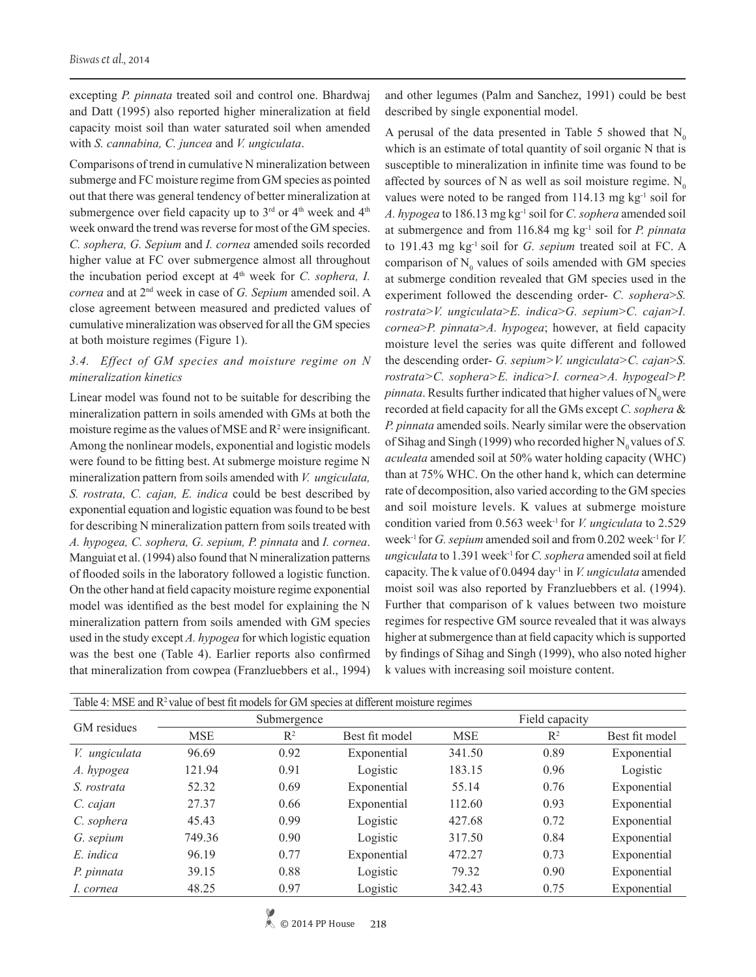excepting *P. pinnata* treated soil and control one. Bhardwaj and Datt (1995) also reported higher mineralization at field capacity moist soil than water saturated soil when amended with *S. cannabina, C. juncea* and *V. ungiculata*.

Comparisons of trend in cumulative N mineralization between submerge and FC moisture regime from GM species as pointed out that there was general tendency of better mineralization at submergence over field capacity up to  $3<sup>rd</sup>$  or  $4<sup>th</sup>$  week and  $4<sup>th</sup>$ week onward the trend was reverse for most of the GM species. *C. sophera, G. Sepium* and *I. cornea* amended soils recorded higher value at FC over submergence almost all throughout the incubation period except at 4<sup>th</sup> week for *C. sophera, I. cornea* and at 2nd week in case of *G. Sepium* amended soil. A close agreement between measured and predicted values of cumulative mineralization was observed for all the GM species at both moisture regimes (Figure 1).

# *3.4. Effect of GM species and moisture regime on N mineralization kinetics*

Linear model was found not to be suitable for describing the mineralization pattern in soils amended with GMs at both the moisture regime as the values of MSE and  $R^2$  were insignificant. Among the nonlinear models, exponential and logistic models were found to be fitting best. At submerge moisture regime N mineralization pattern from soils amended with *V. ungiculata, S. rostrata, C. cajan, E. indica* could be best described by exponential equation and logistic equation was found to be best for describing N mineralization pattern from soils treated with *A. hypogea, C. sophera, G. sepium, P. pinnata* and *I. cornea*. Manguiat et al. (1994) also found that N mineralization patterns of flooded soils in the laboratory followed a logistic function. On the other hand at field capacity moisture regime exponential model was identified as the best model for explaining the N mineralization pattern from soils amended with GM species used in the study except *A. hypogea* for which logistic equation was the best one (Table 4). Earlier reports also confirmed that mineralization from cowpea (Franzluebbers et al., 1994)

and other legumes (Palm and Sanchez, 1991) could be best described by single exponential model.

A perusal of the data presented in Table 5 showed that  $N_0$ which is an estimate of total quantity of soil organic N that is susceptible to mineralization in infinite time was found to be affected by sources of N as well as soil moisture regime.  $N_0$ values were noted to be ranged from  $114.13$  mg kg<sup>-1</sup> soil for *A. hypogea* to 186.13 mg kg-1 soil for *C. sophera* amended soil at submergence and from 116.84 mg kg-1 soil for *P. pinnata* to 191.43 mg kg-1 soil for *G. sepium* treated soil at FC. A comparison of  $N_0$  values of soils amended with GM species at submerge condition revealed that GM species used in the experiment followed the descending order- *C. sophera*>*S. rostrata*>*V. ungiculata*>*E. indica*>*G. sepium*>*C. cajan*>*I. cornea*>*P. pinnata*>*A. hypogea*; however, at field capacity moisture level the series was quite different and followed the descending order- *G. sepium>V. ungiculata>C. cajan*>*S. rostrata>C. sophera>E. indica>I. cornea>A. hypogeal>P. pinnata*. Results further indicated that higher values of  $N_0$  were recorded at field capacity for all the GMs except *C. sophera* & *P. pinnata* amended soils. Nearly similar were the observation of Sihag and Singh (1999) who recorded higher N<sub>0</sub> values of *S*. *aculeata* amended soil at 50% water holding capacity (WHC) than at 75% WHC. On the other hand k, which can determine rate of decomposition, also varied according to the GM species and soil moisture levels. K values at submerge moisture condition varied from 0.563 week-1 for *V. ungiculata* to 2.529 week-1 for *G. sepium* amended soil and from 0.202 week-1 for *V. ungiculata* to 1.391 week-1 for *C. sophera* amended soil at field capacity. The k value of 0.0494 day-1 in *V. ungiculata* amended moist soil was also reported by Franzluebbers et al. (1994). Further that comparison of k values between two moisture regimes for respective GM source revealed that it was always higher at submergence than at field capacity which is supported by findings of Sihag and Singh (1999), who also noted higher k values with increasing soil moisture content.

| Table 4: MSE and R <sup>2</sup> value of best fit models for GM species at different moisture regimes |            |                |                |                |       |                |  |
|-------------------------------------------------------------------------------------------------------|------------|----------------|----------------|----------------|-------|----------------|--|
| GM residues                                                                                           |            | Submergence    |                | Field capacity |       |                |  |
|                                                                                                       | <b>MSE</b> | R <sup>2</sup> | Best fit model | <b>MSE</b>     | $R^2$ | Best fit model |  |
| V. ungiculata                                                                                         | 96.69      | 0.92           | Exponential    | 341.50         | 0.89  | Exponential    |  |
| A. hypogea                                                                                            | 121.94     | 0.91           | Logistic       | 183.15         | 0.96  | Logistic       |  |
| S. rostrata                                                                                           | 52.32      | 0.69           | Exponential    | 55.14          | 0.76  | Exponential    |  |
| C. cajan                                                                                              | 27.37      | 0.66           | Exponential    | 112.60         | 0.93  | Exponential    |  |
| C. sophera                                                                                            | 45.43      | 0.99           | Logistic       | 427.68         | 0.72  | Exponential    |  |
| G. sepium                                                                                             | 749.36     | 0.90           | Logistic       | 317.50         | 0.84  | Exponential    |  |
| E. indica                                                                                             | 96.19      | 0.77           | Exponential    | 472.27         | 0.73  | Exponential    |  |
| P. pinnata                                                                                            | 39.15      | 0.88           | Logistic       | 79.32          | 0.90  | Exponential    |  |
| I. cornea                                                                                             | 48.25      | 0.97           | Logistic       | 342.43         | 0.75  | Exponential    |  |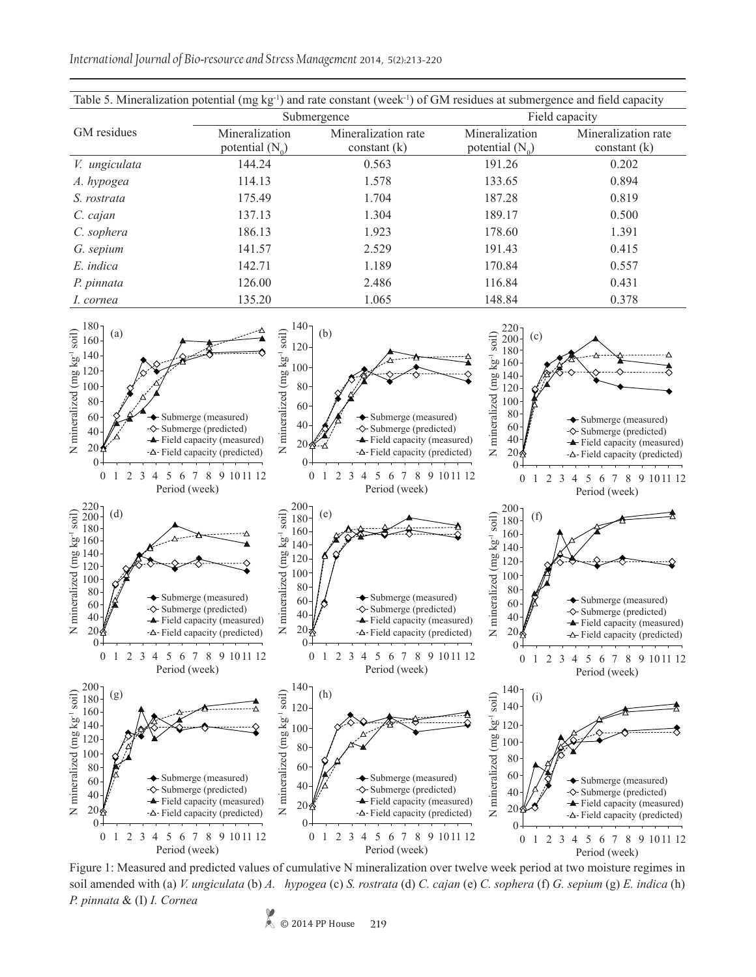*International Journal of Bio-resource and Stress Management* 2014, 5(2):213-220

| Table 5. Mineralization potential ( $mg \nvert g^{-1}$ ) and rate constant (week <sup>-1</sup> ) of GM residues at submergence and field capacity |                                     |                                       |                                     |                                       |  |  |  |
|---------------------------------------------------------------------------------------------------------------------------------------------------|-------------------------------------|---------------------------------------|-------------------------------------|---------------------------------------|--|--|--|
|                                                                                                                                                   |                                     | Submergence                           | Field capacity                      |                                       |  |  |  |
| GM residues                                                                                                                                       | Mineralization<br>potential $(N_0)$ | Mineralization rate<br>constant $(k)$ | Mineralization<br>potential $(N_0)$ | Mineralization rate<br>constant $(k)$ |  |  |  |
| V. ungiculata                                                                                                                                     | 144.24                              | 0.563                                 | 191.26                              | 0.202                                 |  |  |  |
| A. hypogea                                                                                                                                        | 114.13                              | 1.578                                 | 133.65                              | 0.894                                 |  |  |  |
| S. rostrata                                                                                                                                       | 175.49                              | 1.704                                 | 187.28                              | 0.819                                 |  |  |  |
| C. cajan                                                                                                                                          | 137.13                              | 1.304                                 | 189.17                              | 0.500                                 |  |  |  |
| C. sophera                                                                                                                                        | 186.13                              | 1.923                                 | 178.60                              | 1.391                                 |  |  |  |
| G. sepium                                                                                                                                         | 141.57                              | 2.529                                 | 191.43                              | 0.415                                 |  |  |  |
| E. indica                                                                                                                                         | 142.71                              | 1.189                                 | 170.84                              | 0.557                                 |  |  |  |
| P. pinnata                                                                                                                                        | 126.00                              | 2.486                                 | 116.84                              | 0.431                                 |  |  |  |
| I. cornea                                                                                                                                         | 135.20                              | 1.065                                 | 148.84                              | 0.378                                 |  |  |  |



Figure 1: Measured and predicted values of cumulative N mineralization over twelve week period at two moisture regimes in soil amended with (a) *V. ungiculata* (b) *A. hypogea* (c) *S. rostrata* (d) *C. cajan* (e) *C. sophera* (f) *G. sepium* (g) *E. indica* (h) *P. pinnata* & (I) *I. Cornea*

 $\&$  © 2014 PP House **219**